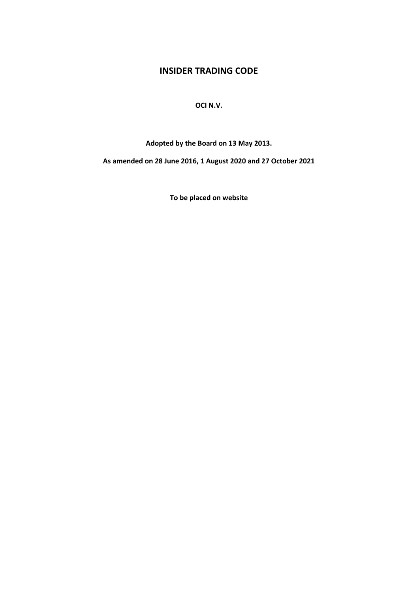# **INSIDER TRADING CODE**

# **OCI N.V.**

**Adopted by the Board on 13 May 2013.**

**As amended on 28 June 2016, 1 August 2020 and 27 October 2021**

**To be placed on website**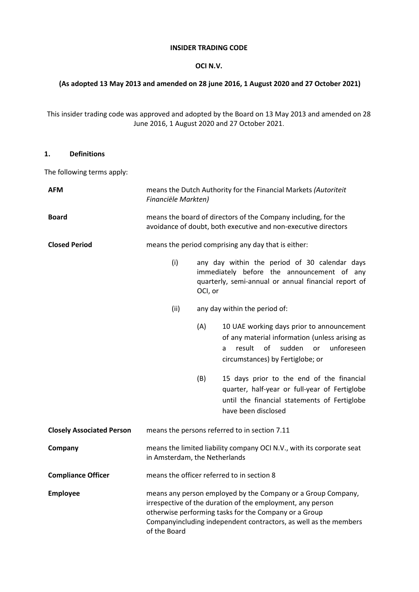#### **INSIDER TRADING CODE**

# **OCI N.V.**

## **(As adopted 13 May 2013 and amended on 28 june 2016, 1 August 2020 and 27 October 2021)**

This insider trading code was approved and adopted by the Board on 13 May 2013 and amended on 28 June 2016, 1 August 2020 and 27 October 2021.

#### **1. Definitions**

The following terms apply:

| <b>AFM</b>                       | means the Dutch Authority for the Financial Markets (Autoriteit<br>Financiële Markten)                                           |                               |                                                                                                                                                                                                                                                         |
|----------------------------------|----------------------------------------------------------------------------------------------------------------------------------|-------------------------------|---------------------------------------------------------------------------------------------------------------------------------------------------------------------------------------------------------------------------------------------------------|
| <b>Board</b>                     | means the board of directors of the Company including, for the<br>avoidance of doubt, both executive and non-executive directors |                               |                                                                                                                                                                                                                                                         |
| <b>Closed Period</b>             | means the period comprising any day that is either:                                                                              |                               |                                                                                                                                                                                                                                                         |
|                                  | (i)                                                                                                                              | OCI, or                       | any day within the period of 30 calendar days<br>immediately before the announcement of any<br>quarterly, semi-annual or annual financial report of                                                                                                     |
|                                  | (ii)                                                                                                                             | any day within the period of: |                                                                                                                                                                                                                                                         |
|                                  |                                                                                                                                  | (A)                           | 10 UAE working days prior to announcement<br>of any material information (unless arising as<br>result<br>of<br>sudden<br>unforeseen<br><b>or</b><br>a<br>circumstances) by Fertiglobe; or                                                               |
|                                  |                                                                                                                                  | (B)                           | 15 days prior to the end of the financial<br>quarter, half-year or full-year of Fertiglobe<br>until the financial statements of Fertiglobe<br>have been disclosed                                                                                       |
| <b>Closely Associated Person</b> | means the persons referred to in section 7.11                                                                                    |                               |                                                                                                                                                                                                                                                         |
| Company                          | means the limited liability company OCI N.V., with its corporate seat<br>in Amsterdam, the Netherlands                           |                               |                                                                                                                                                                                                                                                         |
| <b>Compliance Officer</b>        | means the officer referred to in section 8                                                                                       |                               |                                                                                                                                                                                                                                                         |
| <b>Employee</b>                  | of the Board                                                                                                                     |                               | means any person employed by the Company or a Group Company,<br>irrespective of the duration of the employment, any person<br>otherwise performing tasks for the Company or a Group<br>Companyincluding independent contractors, as well as the members |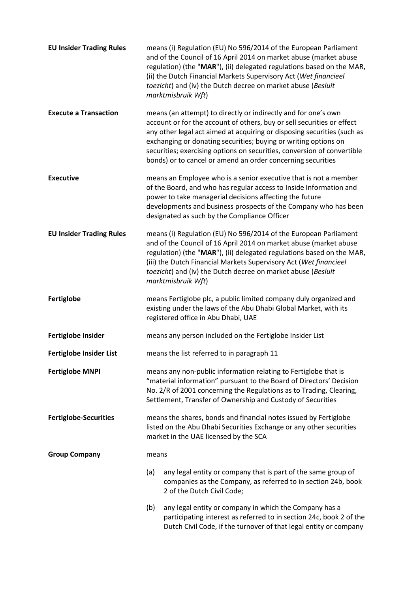| <b>EU Insider Trading Rules</b> |                                                                                                                                                                                                                                                                              | means (i) Regulation (EU) No 596/2014 of the European Parliament<br>and of the Council of 16 April 2014 on market abuse (market abuse<br>regulation) (the "MAR"), (ii) delegated regulations based on the MAR,<br>(ii) the Dutch Financial Markets Supervisory Act (Wet financieel<br>toezicht) and (iv) the Dutch decree on market abuse (Besluit<br>marktmisbruik Wft)                                                         |  |
|---------------------------------|------------------------------------------------------------------------------------------------------------------------------------------------------------------------------------------------------------------------------------------------------------------------------|----------------------------------------------------------------------------------------------------------------------------------------------------------------------------------------------------------------------------------------------------------------------------------------------------------------------------------------------------------------------------------------------------------------------------------|--|
| <b>Execute a Transaction</b>    |                                                                                                                                                                                                                                                                              | means (an attempt) to directly or indirectly and for one's own<br>account or for the account of others, buy or sell securities or effect<br>any other legal act aimed at acquiring or disposing securities (such as<br>exchanging or donating securities; buying or writing options on<br>securities; exercising options on securities, conversion of convertible<br>bonds) or to cancel or amend an order concerning securities |  |
| <b>Executive</b>                |                                                                                                                                                                                                                                                                              | means an Employee who is a senior executive that is not a member<br>of the Board, and who has regular access to Inside Information and<br>power to take managerial decisions affecting the future<br>developments and business prospects of the Company who has been<br>designated as such by the Compliance Officer                                                                                                             |  |
| <b>EU Insider Trading Rules</b> |                                                                                                                                                                                                                                                                              | means (i) Regulation (EU) No 596/2014 of the European Parliament<br>and of the Council of 16 April 2014 on market abuse (market abuse<br>regulation) (the "MAR"), (ii) delegated regulations based on the MAR,<br>(iii) the Dutch Financial Markets Supervisory Act (Wet financieel<br>toezicht) and (iv) the Dutch decree on market abuse (Besluit<br>marktmisbruik Wft)                                                        |  |
| Fertiglobe                      |                                                                                                                                                                                                                                                                              | means Fertiglobe plc, a public limited company duly organized and<br>existing under the laws of the Abu Dhabi Global Market, with its<br>registered office in Abu Dhabi, UAE                                                                                                                                                                                                                                                     |  |
| <b>Fertiglobe Insider</b>       |                                                                                                                                                                                                                                                                              | means any person included on the Fertiglobe Insider List                                                                                                                                                                                                                                                                                                                                                                         |  |
| <b>Fertiglobe Insider List</b>  | means the list referred to in paragraph 11                                                                                                                                                                                                                                   |                                                                                                                                                                                                                                                                                                                                                                                                                                  |  |
| <b>Fertiglobe MNPI</b>          | means any non-public information relating to Fertiglobe that is<br>"material information" pursuant to the Board of Directors' Decision<br>No. 2/R of 2001 concerning the Regulations as to Trading, Clearing,<br>Settlement, Transfer of Ownership and Custody of Securities |                                                                                                                                                                                                                                                                                                                                                                                                                                  |  |
| <b>Fertiglobe-Securities</b>    | means the shares, bonds and financial notes issued by Fertiglobe<br>listed on the Abu Dhabi Securities Exchange or any other securities<br>market in the UAE licensed by the SCA                                                                                             |                                                                                                                                                                                                                                                                                                                                                                                                                                  |  |
| <b>Group Company</b>            | means                                                                                                                                                                                                                                                                        |                                                                                                                                                                                                                                                                                                                                                                                                                                  |  |
|                                 | (a)                                                                                                                                                                                                                                                                          | any legal entity or company that is part of the same group of<br>companies as the Company, as referred to in section 24b, book<br>2 of the Dutch Civil Code;                                                                                                                                                                                                                                                                     |  |
|                                 | (b)                                                                                                                                                                                                                                                                          | any legal entity or company in which the Company has a<br>participating interest as referred to in section 24c, book 2 of the<br>Dutch Civil Code, if the turnover of that legal entity or company                                                                                                                                                                                                                               |  |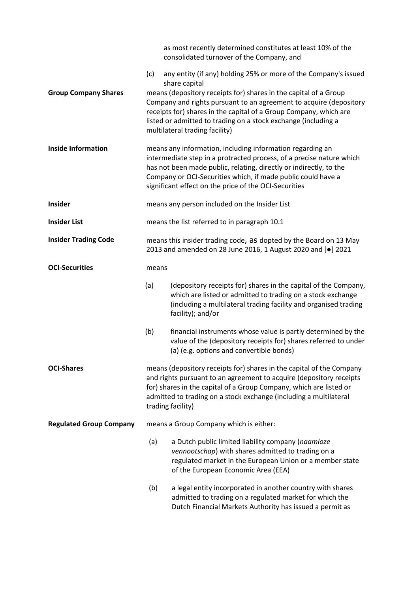|                                |                                                                                                                                                                                                                                                                                                                                  | as most recently determined constitutes at least 10% of the<br>consolidated turnover of the Company, and                                                                                                                |  |
|--------------------------------|----------------------------------------------------------------------------------------------------------------------------------------------------------------------------------------------------------------------------------------------------------------------------------------------------------------------------------|-------------------------------------------------------------------------------------------------------------------------------------------------------------------------------------------------------------------------|--|
|                                | (c)                                                                                                                                                                                                                                                                                                                              | any entity (if any) holding 25% or more of the Company's issued<br>share capital                                                                                                                                        |  |
| <b>Group Company Shares</b>    | means (depository receipts for) shares in the capital of a Group<br>Company and rights pursuant to an agreement to acquire (depository<br>receipts for) shares in the capital of a Group Company, which are<br>listed or admitted to trading on a stock exchange (including a<br>multilateral trading facility)                  |                                                                                                                                                                                                                         |  |
| <b>Inside Information</b>      | means any information, including information regarding an<br>intermediate step in a protracted process, of a precise nature which<br>has not been made public, relating, directly or indirectly, to the<br>Company or OCI-Securities which, if made public could have a<br>significant effect on the price of the OCI-Securities |                                                                                                                                                                                                                         |  |
| Insider                        | means any person included on the Insider List                                                                                                                                                                                                                                                                                    |                                                                                                                                                                                                                         |  |
| <b>Insider List</b>            | means the list referred to in paragraph 10.1                                                                                                                                                                                                                                                                                     |                                                                                                                                                                                                                         |  |
| <b>Insider Trading Code</b>    | means this insider trading code, as dopted by the Board on 13 May<br>2013 and amended on 28 June 2016, 1 August 2020 and [.] 2021                                                                                                                                                                                                |                                                                                                                                                                                                                         |  |
| <b>OCI-Securities</b>          | means                                                                                                                                                                                                                                                                                                                            |                                                                                                                                                                                                                         |  |
|                                | (a)                                                                                                                                                                                                                                                                                                                              | (depository receipts for) shares in the capital of the Company,<br>which are listed or admitted to trading on a stock exchange<br>(including a multilateral trading facility and organised trading<br>facility); and/or |  |
|                                | (b)                                                                                                                                                                                                                                                                                                                              | financial instruments whose value is partly determined by the<br>value of the (depository receipts for) shares referred to under<br>(a) (e.g. options and convertible bonds)                                            |  |
| <b>OCI-Shares</b>              | means (depository receipts for) shares in the capital of the Company<br>and rights pursuant to an agreement to acquire (depository receipts<br>for) shares in the capital of a Group Company, which are listed or<br>admitted to trading on a stock exchange (including a multilateral<br>trading facility)                      |                                                                                                                                                                                                                         |  |
| <b>Regulated Group Company</b> | means a Group Company which is either:                                                                                                                                                                                                                                                                                           |                                                                                                                                                                                                                         |  |
|                                | (a)                                                                                                                                                                                                                                                                                                                              | a Dutch public limited liability company (naamloze<br>vennootschap) with shares admitted to trading on a<br>regulated market in the European Union or a member state<br>of the European Economic Area (EEA)             |  |
|                                | (b)                                                                                                                                                                                                                                                                                                                              | a legal entity incorporated in another country with shares<br>admitted to trading on a regulated market for which the<br>Dutch Financial Markets Authority has issued a permit as                                       |  |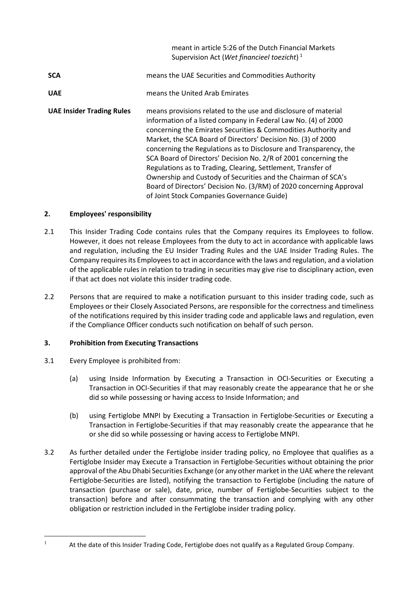|                                  | meant in article 5:26 of the Dutch Financial Markets<br>Supervision Act (Wet financieel toezicht) <sup>1</sup>                                                                                                                                                                                                                                                                                                                                                                                                                                                                                                                                                   |
|----------------------------------|------------------------------------------------------------------------------------------------------------------------------------------------------------------------------------------------------------------------------------------------------------------------------------------------------------------------------------------------------------------------------------------------------------------------------------------------------------------------------------------------------------------------------------------------------------------------------------------------------------------------------------------------------------------|
| <b>SCA</b>                       | means the UAE Securities and Commodities Authority                                                                                                                                                                                                                                                                                                                                                                                                                                                                                                                                                                                                               |
| <b>UAE</b>                       | means the United Arab Emirates                                                                                                                                                                                                                                                                                                                                                                                                                                                                                                                                                                                                                                   |
| <b>UAE Insider Trading Rules</b> | means provisions related to the use and disclosure of material<br>information of a listed company in Federal Law No. (4) of 2000<br>concerning the Emirates Securities & Commodities Authority and<br>Market, the SCA Board of Directors' Decision No. (3) of 2000<br>concerning the Regulations as to Disclosure and Transparency, the<br>SCA Board of Directors' Decision No. 2/R of 2001 concerning the<br>Regulations as to Trading, Clearing, Settlement, Transfer of<br>Ownership and Custody of Securities and the Chairman of SCA's<br>Board of Directors' Decision No. (3/RM) of 2020 concerning Approval<br>of Joint Stock Companies Governance Guide) |

# **2. Employees' responsibility**

- 2.1 This Insider Trading Code contains rules that the Company requires its Employees to follow. However, it does not release Employees from the duty to act in accordance with applicable laws and regulation, including the EU Insider Trading Rules and the UAE Insider Trading Rules. The Company requires its Employees to act in accordance with the laws and regulation, and a violation of the applicable rules in relation to trading in securities may give rise to disciplinary action, even if that act does not violate this insider trading code.
- 2.2 Persons that are required to make a notification pursuant to this insider trading code, such as Employees or their Closely Associated Persons, are responsible for the correctness and timeliness of the notifications required by this insider trading code and applicable laws and regulation, even if the Compliance Officer conducts such notification on behalf of such person.

# **3. Prohibition from Executing Transactions**

- 3.1 Every Employee is prohibited from:
	- (a) using Inside Information by Executing a Transaction in OCI-Securities or Executing a Transaction in OCI-Securities if that may reasonably create the appearance that he or she did so while possessing or having access to Inside Information; and
	- (b) using Fertiglobe MNPI by Executing a Transaction in Fertiglobe-Securities or Executing a Transaction in Fertiglobe-Securities if that may reasonably create the appearance that he or she did so while possessing or having access to Fertiglobe MNPI.
- 3.2 As further detailed under the Fertiglobe insider trading policy, no Employee that qualifies as a Fertiglobe Insider may Execute a Transaction in Fertiglobe-Securities without obtaining the prior approval of the Abu Dhabi Securities Exchange (or any other market in the UAE where the relevant Fertiglobe-Securities are listed), notifying the transaction to Fertiglobe (including the nature of transaction (purchase or sale), date, price, number of Fertiglobe-Securities subject to the transaction) before and after consummating the transaction and complying with any other obligation or restriction included in the Fertiglobe insider trading policy.

<span id="page-4-0"></span><sup>&</sup>lt;sup>1</sup> At the date of this Insider Trading Code, Fertiglobe does not qualify as a Regulated Group Company.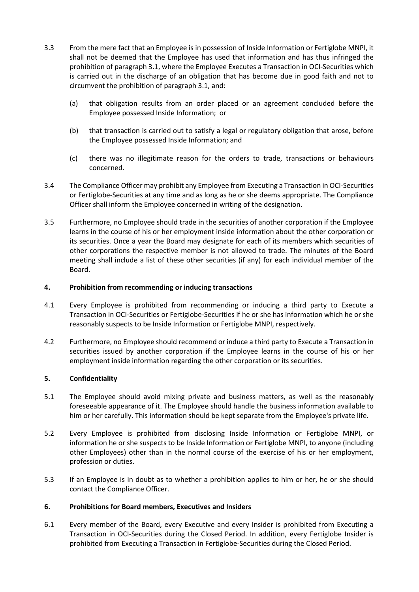- 3.3 From the mere fact that an Employee is in possession of Inside Information or Fertiglobe MNPI, it shall not be deemed that the Employee has used that information and has thus infringed the prohibition of paragraph 3.1, where the Employee Executes a Transaction in OCI-Securities which is carried out in the discharge of an obligation that has become due in good faith and not to circumvent the prohibition of paragraph 3.1, and:
	- (a) that obligation results from an order placed or an agreement concluded before the Employee possessed Inside Information; or
	- (b) that transaction is carried out to satisfy a legal or regulatory obligation that arose, before the Employee possessed Inside Information; and
	- (c) there was no illegitimate reason for the orders to trade, transactions or behaviours concerned.
- 3.4 The Compliance Officer may prohibit any Employee from Executing a Transaction in OCI-Securities or Fertiglobe-Securities at any time and as long as he or she deems appropriate. The Compliance Officer shall inform the Employee concerned in writing of the designation.
- 3.5 Furthermore, no Employee should trade in the securities of another corporation if the Employee learns in the course of his or her employment inside information about the other corporation or its securities. Once a year the Board may designate for each of its members which securities of other corporations the respective member is not allowed to trade. The minutes of the Board meeting shall include a list of these other securities (if any) for each individual member of the Board.

#### **4. Prohibition from recommending or inducing transactions**

- 4.1 Every Employee is prohibited from recommending or inducing a third party to Execute a Transaction in OCI-Securities or Fertiglobe-Securities if he or she has information which he or she reasonably suspects to be Inside Information or Fertiglobe MNPI, respectively.
- 4.2 Furthermore, no Employee should recommend or induce a third party to Execute a Transaction in securities issued by another corporation if the Employee learns in the course of his or her employment inside information regarding the other corporation or its securities.

#### **5. Confidentiality**

- 5.1 The Employee should avoid mixing private and business matters, as well as the reasonably foreseeable appearance of it. The Employee should handle the business information available to him or her carefully. This information should be kept separate from the Employee's private life.
- 5.2 Every Employee is prohibited from disclosing Inside Information or Fertiglobe MNPI, or information he or she suspects to be Inside Information or Fertiglobe MNPI, to anyone (including other Employees) other than in the normal course of the exercise of his or her employment, profession or duties.
- 5.3 If an Employee is in doubt as to whether a prohibition applies to him or her, he or she should contact the Compliance Officer.

#### **6. Prohibitions for Board members, Executives and Insiders**

6.1 Every member of the Board, every Executive and every Insider is prohibited from Executing a Transaction in OCI-Securities during the Closed Period. In addition, every Fertiglobe Insider is prohibited from Executing a Transaction in Fertiglobe-Securities during the Closed Period.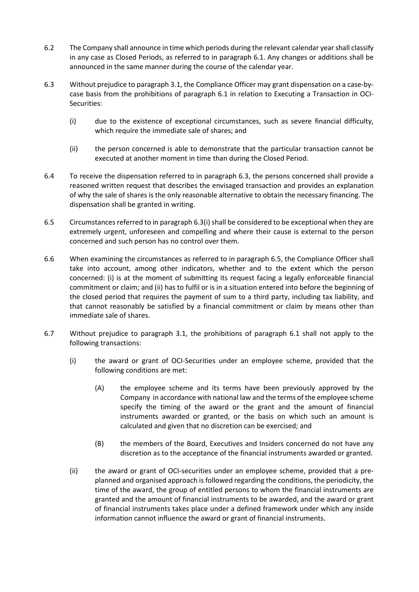- 6.2 The Company shall announce in time which periods during the relevant calendar year shall classify in any case as Closed Periods, as referred to in paragraph 6.1. Any changes or additions shall be announced in the same manner during the course of the calendar year.
- 6.3 Without prejudice to paragraph 3.1, the Compliance Officer may grant dispensation on a case-bycase basis from the prohibitions of paragraph 6.1 in relation to Executing a Transaction in OCI-Securities:
	- (i) due to the existence of exceptional circumstances, such as severe financial difficulty, which require the immediate sale of shares; and
	- (ii) the person concerned is able to demonstrate that the particular transaction cannot be executed at another moment in time than during the Closed Period.
- 6.4 To receive the dispensation referred to in paragraph 6.3, the persons concerned shall provide a reasoned written request that describes the envisaged transaction and provides an explanation of why the sale of shares is the only reasonable alternative to obtain the necessary financing. The dispensation shall be granted in writing.
- 6.5 Circumstances referred to in paragraph 6.3(i) shall be considered to be exceptional when they are extremely urgent, unforeseen and compelling and where their cause is external to the person concerned and such person has no control over them.
- 6.6 When examining the circumstances as referred to in paragraph 6.5, the Compliance Officer shall take into account, among other indicators, whether and to the extent which the person concerned: (i) is at the moment of submitting its request facing a legally enforceable financial commitment or claim; and (ii) has to fulfil or is in a situation entered into before the beginning of the closed period that requires the payment of sum to a third party, including tax liability, and that cannot reasonably be satisfied by a financial commitment or claim by means other than immediate sale of shares.
- 6.7 Without prejudice to paragraph 3.1, the prohibitions of paragraph 6.1 shall not apply to the following transactions:
	- (i) the award or grant of OCI-Securities under an employee scheme, provided that the following conditions are met:
		- (A) the employee scheme and its terms have been previously approved by the Company in accordance with national law and the terms of the employee scheme specify the timing of the award or the grant and the amount of financial instruments awarded or granted, or the basis on which such an amount is calculated and given that no discretion can be exercised; and
		- (B) the members of the Board, Executives and Insiders concerned do not have any discretion as to the acceptance of the financial instruments awarded or granted.
	- (ii) the award or grant of OCI-securities under an employee scheme, provided that a preplanned and organised approach is followed regarding the conditions, the periodicity, the time of the award, the group of entitled persons to whom the financial instruments are granted and the amount of financial instruments to be awarded, and the award or grant of financial instruments takes place under a defined framework under which any inside information cannot influence the award or grant of financial instruments.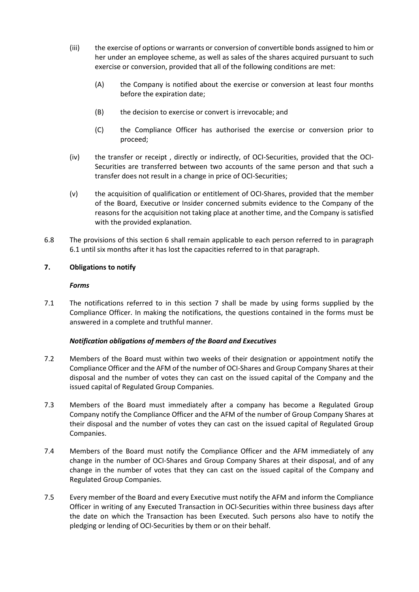- (iii) the exercise of options or warrants or conversion of convertible bonds assigned to him or her under an employee scheme, as well as sales of the shares acquired pursuant to such exercise or conversion, provided that all of the following conditions are met:
	- (A) the Company is notified about the exercise or conversion at least four months before the expiration date;
	- (B) the decision to exercise or convert is irrevocable; and
	- (C) the Compliance Officer has authorised the exercise or conversion prior to proceed;
- (iv) the transfer or receipt , directly or indirectly, of OCI-Securities, provided that the OCI-Securities are transferred between two accounts of the same person and that such a transfer does not result in a change in price of OCI-Securities;
- (v) the acquisition of qualification or entitlement of OCI-Shares, provided that the member of the Board, Executive or Insider concerned submits evidence to the Company of the reasons for the acquisition not taking place at another time, and the Company is satisfied with the provided explanation.
- 6.8 The provisions of this section 6 shall remain applicable to each person referred to in paragraph 6.1 until six months after it has lost the capacities referred to in that paragraph.

#### **7. Obligations to notify**

#### *Forms*

7.1 The notifications referred to in this section 7 shall be made by using forms supplied by the Compliance Officer. In making the notifications, the questions contained in the forms must be answered in a complete and truthful manner.

#### *Notification obligations of members of the Board and Executives*

- 7.2 Members of the Board must within two weeks of their designation or appointment notify the Compliance Officer and the AFM of the number of OCI-Shares and Group Company Shares at their disposal and the number of votes they can cast on the issued capital of the Company and the issued capital of Regulated Group Companies.
- 7.3 Members of the Board must immediately after a company has become a Regulated Group Company notify the Compliance Officer and the AFM of the number of Group Company Shares at their disposal and the number of votes they can cast on the issued capital of Regulated Group Companies.
- 7.4 Members of the Board must notify the Compliance Officer and the AFM immediately of any change in the number of OCI-Shares and Group Company Shares at their disposal, and of any change in the number of votes that they can cast on the issued capital of the Company and Regulated Group Companies.
- 7.5 Every member of the Board and every Executive must notify the AFM and inform the Compliance Officer in writing of any Executed Transaction in OCI-Securities within three business days after the date on which the Transaction has been Executed. Such persons also have to notify the pledging or lending of OCI-Securities by them or on their behalf.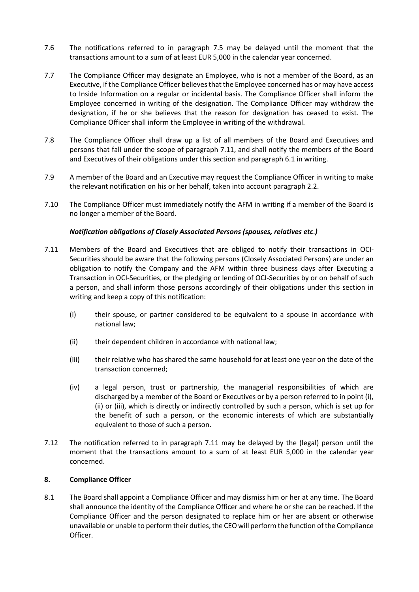- 7.6 The notifications referred to in paragraph 7.5 may be delayed until the moment that the transactions amount to a sum of at least EUR 5,000 in the calendar year concerned.
- 7.7 The Compliance Officer may designate an Employee, who is not a member of the Board, as an Executive, if the Compliance Officer believes that the Employee concerned has or may have access to Inside Information on a regular or incidental basis. The Compliance Officer shall inform the Employee concerned in writing of the designation. The Compliance Officer may withdraw the designation, if he or she believes that the reason for designation has ceased to exist. The Compliance Officer shall inform the Employee in writing of the withdrawal.
- 7.8 The Compliance Officer shall draw up a list of all members of the Board and Executives and persons that fall under the scope of paragraph 7.11, and shall notify the members of the Board and Executives of their obligations under this section and paragraph 6.1 in writing.
- 7.9 A member of the Board and an Executive may request the Compliance Officer in writing to make the relevant notification on his or her behalf, taken into account paragraph 2.2.
- 7.10 The Compliance Officer must immediately notify the AFM in writing if a member of the Board is no longer a member of the Board.

## *Notification obligations of Closely Associated Persons (spouses, relatives etc*.*)*

- 7.11 Members of the Board and Executives that are obliged to notify their transactions in OCI-Securities should be aware that the following persons (Closely Associated Persons) are under an obligation to notify the Company and the AFM within three business days after Executing a Transaction in OCI-Securities, or the pledging or lending of OCI-Securities by or on behalf of such a person, and shall inform those persons accordingly of their obligations under this section in writing and keep a copy of this notification:
	- (i) their spouse, or partner considered to be equivalent to a spouse in accordance with national law;
	- (ii) their dependent children in accordance with national law;
	- (iii) their relative who has shared the same household for at least one year on the date of the transaction concerned;
	- (iv) a legal person, trust or partnership, the managerial responsibilities of which are discharged by a member of the Board or Executives or by a person referred to in point (i), (ii) or (iii), which is directly or indirectly controlled by such a person, which is set up for the benefit of such a person, or the economic interests of which are substantially equivalent to those of such a person.
- 7.12 The notification referred to in paragraph 7.11 may be delayed by the (legal) person until the moment that the transactions amount to a sum of at least EUR 5,000 in the calendar year concerned.

#### **8. Compliance Officer**

8.1 The Board shall appoint a Compliance Officer and may dismiss him or her at any time. The Board shall announce the identity of the Compliance Officer and where he or she can be reached. If the Compliance Officer and the person designated to replace him or her are absent or otherwise unavailable or unable to perform their duties, the CEO will perform the function of the Compliance Officer.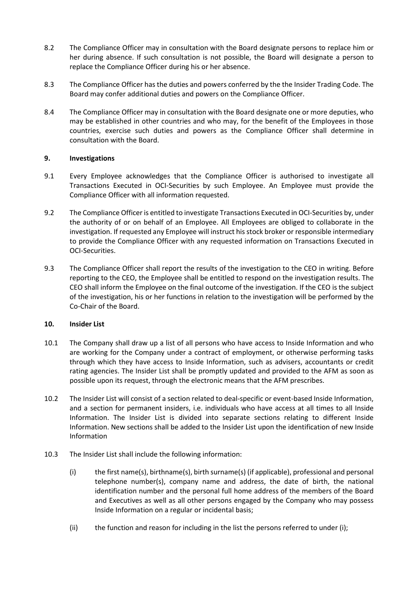- 8.2 The Compliance Officer may in consultation with the Board designate persons to replace him or her during absence. If such consultation is not possible, the Board will designate a person to replace the Compliance Officer during his or her absence.
- 8.3 The Compliance Officer has the duties and powers conferred by the the Insider Trading Code. The Board may confer additional duties and powers on the Compliance Officer.
- 8.4 The Compliance Officer may in consultation with the Board designate one or more deputies, who may be established in other countries and who may, for the benefit of the Employees in those countries, exercise such duties and powers as the Compliance Officer shall determine in consultation with the Board.

## **9. Investigations**

- 9.1 Every Employee acknowledges that the Compliance Officer is authorised to investigate all Transactions Executed in OCI-Securities by such Employee. An Employee must provide the Compliance Officer with all information requested.
- 9.2 The Compliance Officer is entitled to investigate Transactions Executed in OCI-Securities by, under the authority of or on behalf of an Employee. All Employees are obliged to collaborate in the investigation. If requested any Employee will instruct his stock broker or responsible intermediary to provide the Compliance Officer with any requested information on Transactions Executed in OCI-Securities.
- 9.3 The Compliance Officer shall report the results of the investigation to the CEO in writing. Before reporting to the CEO, the Employee shall be entitled to respond on the investigation results. The CEO shall inform the Employee on the final outcome of the investigation. If the CEO is the subject of the investigation, his or her functions in relation to the investigation will be performed by the Co-Chair of the Board.

#### **10. Insider List**

- 10.1 The Company shall draw up a list of all persons who have access to Inside Information and who are working for the Company under a contract of employment, or otherwise performing tasks through which they have access to Inside Information, such as advisers, accountants or credit rating agencies. The Insider List shall be promptly updated and provided to the AFM as soon as possible upon its request, through the electronic means that the AFM prescribes.
- 10.2 The Insider List will consist of a section related to deal-specific or event-based Inside Information, and a section for permanent insiders, i.e. individuals who have access at all times to all Inside Information. The Insider List is divided into separate sections relating to different Inside Information. New sections shall be added to the Insider List upon the identification of new Inside Information
- 10.3 The Insider List shall include the following information:
	- (i) the first name(s), birthname(s), birth surname(s) (if applicable), professional and personal telephone number(s), company name and address, the date of birth, the national identification number and the personal full home address of the members of the Board and Executives as well as all other persons engaged by the Company who may possess Inside Information on a regular or incidental basis;
	- (ii) the function and reason for including in the list the persons referred to under (i);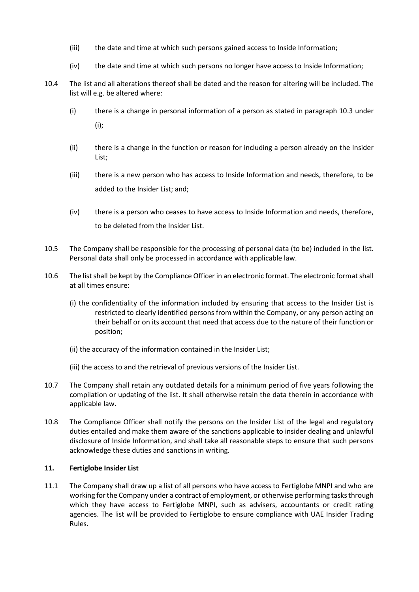- (iii) the date and time at which such persons gained access to Inside Information;
- (iv) the date and time at which such persons no longer have access to Inside Information;
- 10.4 The list and all alterations thereof shall be dated and the reason for altering will be included. The list will e.g. be altered where:
	- (i) there is a change in personal information of a person as stated in paragraph 10.3 under (i);
	- (ii) there is a change in the function or reason for including a person already on the Insider List;
	- (iii) there is a new person who has access to Inside Information and needs, therefore, to be added to the Insider List; and;
	- (iv) there is a person who ceases to have access to Inside Information and needs, therefore, to be deleted from the Insider List.
- 10.5 The Company shall be responsible for the processing of personal data (to be) included in the list. Personal data shall only be processed in accordance with applicable law.
- 10.6 The list shall be kept by the Compliance Officer in an electronic format. The electronic format shall at all times ensure:
	- (i) the confidentiality of the information included by ensuring that access to the Insider List is restricted to clearly identified persons from within the Company, or any person acting on their behalf or on its account that need that access due to the nature of their function or position;
	- (ii) the accuracy of the information contained in the Insider List;
	- (iii) the access to and the retrieval of previous versions of the Insider List.
- 10.7 The Company shall retain any outdated details for a minimum period of five years following the compilation or updating of the list. It shall otherwise retain the data therein in accordance with applicable law.
- 10.8 The Compliance Officer shall notify the persons on the Insider List of the legal and regulatory duties entailed and make them aware of the sanctions applicable to insider dealing and unlawful disclosure of Inside Information, and shall take all reasonable steps to ensure that such persons acknowledge these duties and sanctions in writing.

#### **11. Fertiglobe Insider List**

11.1 The Company shall draw up a list of all persons who have access to Fertiglobe MNPI and who are working for the Company under a contract of employment, or otherwise performing tasks through which they have access to Fertiglobe MNPI, such as advisers, accountants or credit rating agencies. The list will be provided to Fertiglobe to ensure compliance with UAE Insider Trading Rules.